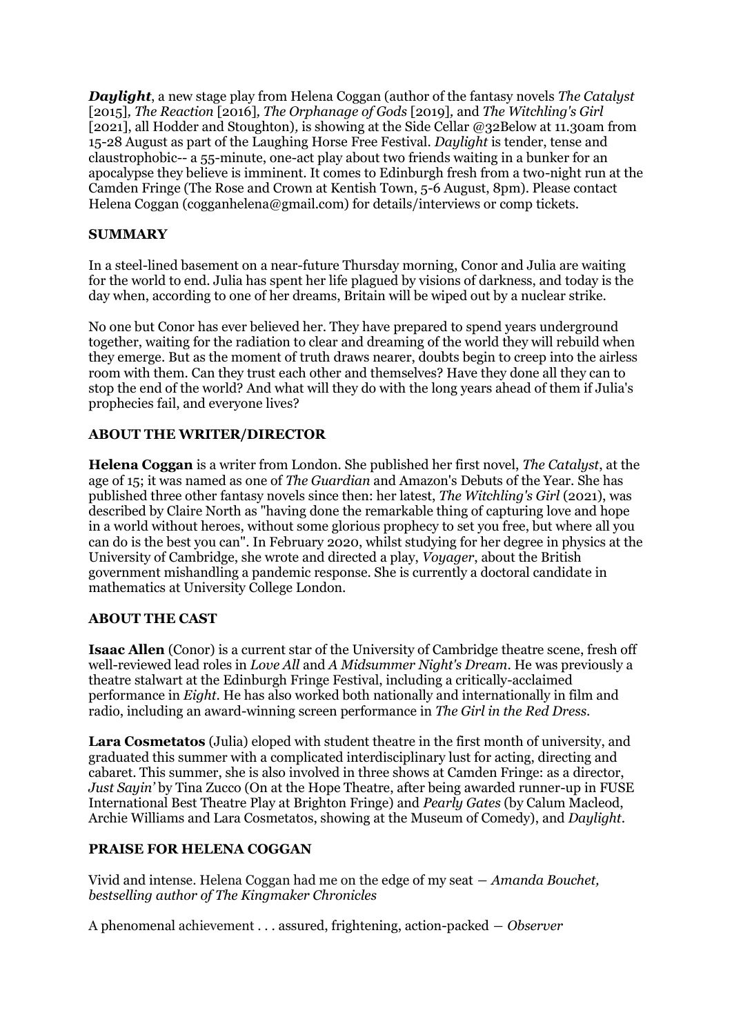*Daylight*, a new stage play from Helena Coggan (author of the fantasy novels *The Catalyst*  [2015]*, The Reaction* [2016]*, The Orphanage of Gods* [2019]*,* and *The Witchling's Girl*  [2021], all Hodder and Stoughton)*,* is showing at the Side Cellar @32Below at 11.30am from 15-28 August as part of the Laughing Horse Free Festival. *Daylight* is tender, tense and claustrophobic-- a 55-minute, one-act play about two friends waiting in a bunker for an apocalypse they believe is imminent. It comes to Edinburgh fresh from a two-night run at the Camden Fringe (The Rose and Crown at Kentish Town, 5-6 August, 8pm). Please contact Helena Coggan (cogganhelena@gmail.com) for details/interviews or comp tickets.

## **SUMMARY**

In a steel-lined basement on a near-future Thursday morning, Conor and Julia are waiting for the world to end. Julia has spent her life plagued by visions of darkness, and today is the day when, according to one of her dreams, Britain will be wiped out by a nuclear strike.

No one but Conor has ever believed her. They have prepared to spend years underground together, waiting for the radiation to clear and dreaming of the world they will rebuild when they emerge. But as the moment of truth draws nearer, doubts begin to creep into the airless room with them. Can they trust each other and themselves? Have they done all they can to stop the end of the world? And what will they do with the long years ahead of them if Julia's prophecies fail, and everyone lives?

## **ABOUT THE WRITER/DIRECTOR**

**Helena Coggan** is a writer from London. She published her first novel, *The Catalyst*, at the age of 15; it was named as one of *The Guardian* and Amazon's Debuts of the Year. She has published three other fantasy novels since then: her latest, *The Witchling's Girl* (2021), was described by Claire North as "having done the remarkable thing of capturing love and hope in a world without heroes, without some glorious prophecy to set you free, but where all you can do is the best you can". In February 2020, whilst studying for her degree in physics at the University of Cambridge, she wrote and directed a play, *Voyager*, about the British government mishandling a pandemic response. She is currently a doctoral candidate in mathematics at University College London.

## **ABOUT THE CAST**

**Isaac Allen** (Conor) is a current star of the University of Cambridge theatre scene, fresh off well-reviewed lead roles in *Love All* and *A Midsummer Night's Dream*. He was previously a theatre stalwart at the Edinburgh Fringe Festival, including a critically-acclaimed performance in *Eight*. He has also worked both nationally and internationally in film and radio, including an award-winning screen performance in *The Girl in the Red Dress*.

**Lara Cosmetatos** (Julia) eloped with student theatre in the first month of university, and graduated this summer with a complicated interdisciplinary lust for acting, directing and cabaret. This summer, she is also involved in three shows at Camden Fringe: as a director, *Just Sayin'* by Tina Zucco (On at the Hope Theatre, after being awarded runner-up in FUSE International Best Theatre Play at Brighton Fringe) and *Pearly Gates* (by Calum Macleod, Archie Williams and Lara Cosmetatos, showing at the Museum of Comedy), and *Daylight*.

## **PRAISE FOR HELENA COGGAN**

Vivid and intense. Helena Coggan had me on the edge of my seat ― *Amanda Bouchet, bestselling author of The Kingmaker Chronicles*

A phenomenal achievement . . . assured, frightening, action-packed ― *Observer*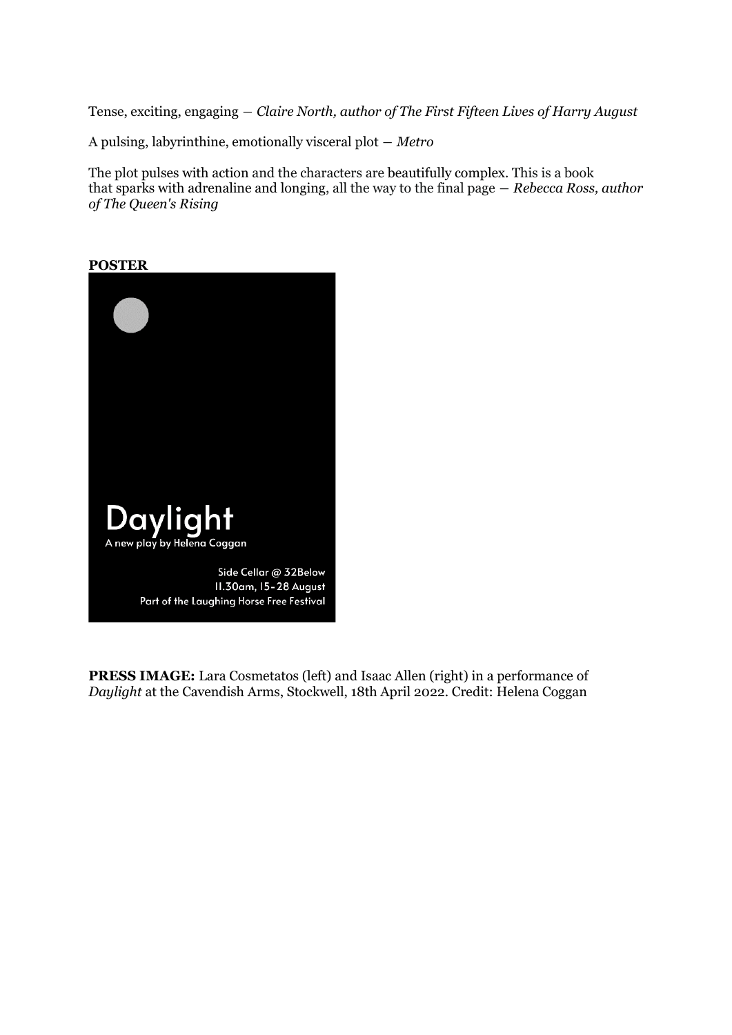Tense, exciting, engaging ― *Claire North, author of The First Fifteen Lives of Harry August*

A pulsing, labyrinthine, emotionally visceral plot ― *Metro*

The plot pulses with action and the characters are beautifully complex. This is a book that sparks with adrenaline and longing, all the way to the final page ― *Rebecca Ross, author of The Queen's Rising*



**PRESS IMAGE:** Lara Cosmetatos (left) and Isaac Allen (right) in a performance of *Daylight* at the Cavendish Arms, Stockwell, 18th April 2022. Credit: Helena Coggan